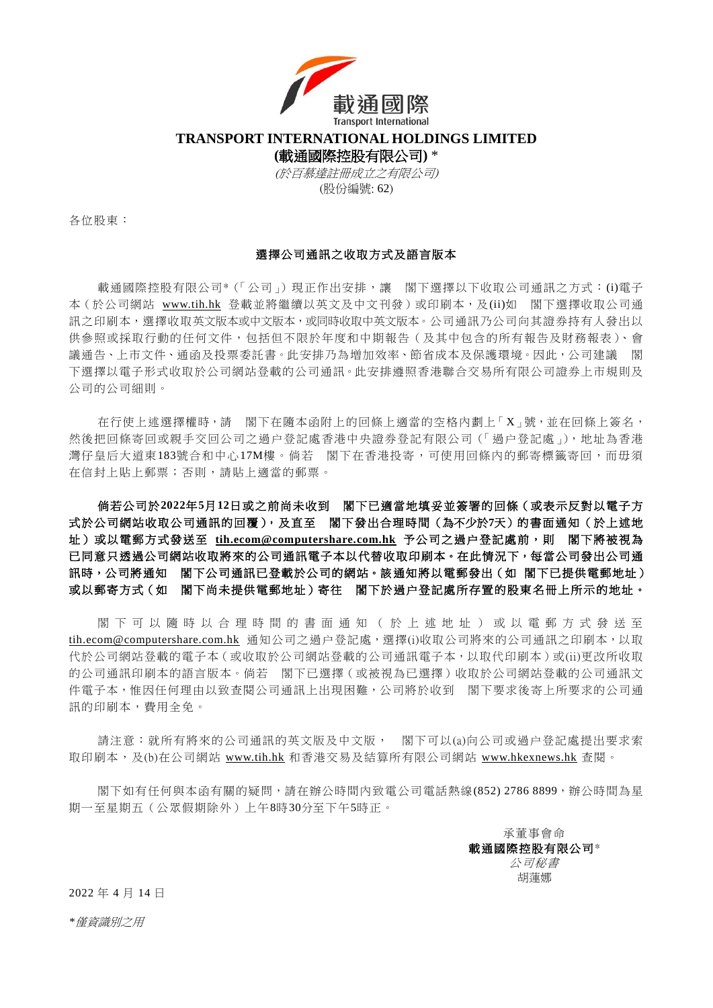

**TRANSPORT INTERNATIONAL HOLDINGS LIMITED**

**(**載通國際控股有限公司**)** \*

(於百慕達註冊成立之有限公司) (股份編號: 62)

各位股東:

## 選擇公司通訊之收取方式及語言版本

載涌國際控股有限公司\*(「公司」)現正作出安排, 讓 閣下選擇以下收取公司涌訊之方式: (i)電子 本(於公司網站 [www.tih.hk](http://www.tih.hk/) 登載並將繼續以英文及中文刊發)或印刷本,及(ii)如 閣下選擇收取公司通 訊之印刷本,選擇收取英文版本或中文版本,或同時收取中英文版本。公司通訊乃公司向其證券持有人發出以 供參照或採取行動的任何文件,包括但不限於年度和中期報告(及其中包含的所有報告及財務報表)、會 議通告、上市文件、通函及投票委託書。此安排乃為増加效率、節省成本及保護環境。因此,公司建議 閣 下選擇以電子形式收取於公司網站登載的公司通訊。此安排遵照香港聯合交易所有限公司證券上市規則及 公司的公司細則。

在行使上述選擇權時,請 閣下在隨本函附上的回條上適當的空格內劃上「X」號,並在回條上簽名, 然後把回條寄回或親手交回公司之過户登記處香港中央證券登記有限公司(「過户登記處」),地址為香港 灣仔皇后大道東183號合和中心17M樓。倘若 閣下在香港投寄,可使用回條內的郵寄標籤寄回,而毋須 在信封上貼上郵票;否則,請貼上適當的郵票。

倘若公司於**2022**年**5**月**12**日或之前尚未收到 閣下已適當地填妥並簽署的回條(或表示反對以電子方 式於公司網站收取公司通訊的回覆),及直至 閣下發出合理時間(為不少於**7**天)的書面通知(於上述地 址)或以電郵方式發送至 [tih.ecom@computershare.com.hk](mailto:tih.ecom@computershare.com.hk) 予公司之過户登記處前,則 閣下將被視為 已同意只透過公司網站收取將來的公司通訊電子本以代替收取印刷本。在此情況下,每當公司發出公司通 訊時,公司將通知 閣下公司通訊已登載於公司的網站。該通知將以電郵發出(如 閣下已提供電郵地址) 或以郵寄方式(如 閣下尚未提供電郵地址)寄往 閣下於過户登記處所存置的股東名冊上所示的地址。

閣 下 可 以 隨 時 以 合 理 時 間 的 書 面 通 知 ( 於 上 述 地 址 ) 或 以 電 郵 方 式 發 送 至 [tih.ecom@computershare.com.hk](mailto:tih.ecom@computershare.com.hk) 通知公司之過户登記處,選擇(i)收取公司將來的公司通訊之印刷本,以取 代於公司網站登載的電子本(或收取於公司網站登載的公司通訊電子本,以取代印刷本)或(ii)更改所收取 的公司通訊印刷本的語言版本。倘若 閣下已選擇(或被視為已選擇)收取於公司網站登載的公司通訊文 件電子本,惟因任何理由以致查閱公司通訊上出現困難,公司將於收到 閣下要求後寄上所要求的公司通 訊的印刷本,費用全免。

請注意:就所有將來的公司通訊的英文版及中文版, 閣下可以(a)向公司或過户登記處提出要求索 取印刷本,及(b)在公司網站 [www.tih.hk](http://www.tih.hk/) 和香港交易及結算所有限公司網站 [www.hkexnews.hk](https://www.hkexnews.hk/index_c.htm) 查閱。

閣下如有任何與本函有關的疑問,請在辦公時間內致電公司電話熱線(852) 2786 8899,辦公時間為星 期一至星期五(公眾假期除外)上午8時30分至下午5時正。

> 承董事會命 載通國際控股有限公司\* 公司秘書 胡蓮娜

2022 年 4 月 14 日

*\**僅資識別之用